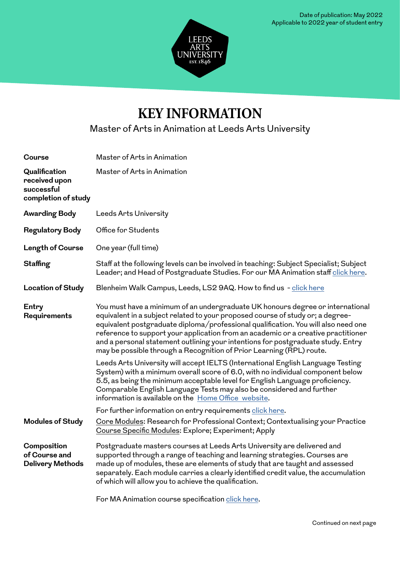

## **KEY INFORMATION**

Master of Arts in Animation at Leeds Arts University

| <b>Course</b>                                                       | Master of Arts in Animation                                                                                                                                                                                                                                                                                                                                                                                                                                                                                                                                                                                                                                                                                                                                                                                                                                                                                                                                |
|---------------------------------------------------------------------|------------------------------------------------------------------------------------------------------------------------------------------------------------------------------------------------------------------------------------------------------------------------------------------------------------------------------------------------------------------------------------------------------------------------------------------------------------------------------------------------------------------------------------------------------------------------------------------------------------------------------------------------------------------------------------------------------------------------------------------------------------------------------------------------------------------------------------------------------------------------------------------------------------------------------------------------------------|
| Qualification<br>received upon<br>successful<br>completion of study | Master of Arts in Animation                                                                                                                                                                                                                                                                                                                                                                                                                                                                                                                                                                                                                                                                                                                                                                                                                                                                                                                                |
| <b>Awarding Body</b>                                                | Leeds Arts University                                                                                                                                                                                                                                                                                                                                                                                                                                                                                                                                                                                                                                                                                                                                                                                                                                                                                                                                      |
| <b>Regulatory Body</b>                                              | Office for Students                                                                                                                                                                                                                                                                                                                                                                                                                                                                                                                                                                                                                                                                                                                                                                                                                                                                                                                                        |
| Length of Course                                                    | One year (full time)                                                                                                                                                                                                                                                                                                                                                                                                                                                                                                                                                                                                                                                                                                                                                                                                                                                                                                                                       |
| <b>Staffing</b>                                                     | Staff at the following levels can be involved in teaching: Subject Specialist; Subject<br>Leader; and Head of Postgraduate Studies. For our MA Animation staff click here.                                                                                                                                                                                                                                                                                                                                                                                                                                                                                                                                                                                                                                                                                                                                                                                 |
| <b>Location of Study</b>                                            | Blenheim Walk Campus, Leeds, LS2 9AQ. How to find us - click here                                                                                                                                                                                                                                                                                                                                                                                                                                                                                                                                                                                                                                                                                                                                                                                                                                                                                          |
| Entry<br>Requirements                                               | You must have a minimum of an undergraduate UK honours degree or international<br>equivalent in a subject related to your proposed course of study or; a degree-<br>equivalent postgraduate diploma/professional qualification. You will also need one<br>reference to support your application from an academic or a creative practitioner<br>and a personal statement outlining your intentions for postgraduate study. Entry<br>may be possible through a Recognition of Prior Learning (RPL) route.<br>Leeds Arts University will accept IELTS (International English Language Testing<br>System) with a minimum overall score of 6.0, with no individual component below<br>5.5, as being the minimum acceptable level for English Language proficiency.<br>Comparable English Language Tests may also be considered and further<br>information is available on the Home Office website.<br>For further information on entry requirements click here. |
| <b>Modules of Study</b>                                             | Core Modules: Research for Professional Context; Contextualising your Practice<br>Course Specific Modules: Explore; Experiment; Apply                                                                                                                                                                                                                                                                                                                                                                                                                                                                                                                                                                                                                                                                                                                                                                                                                      |
| Composition<br>of Course and<br><b>Delivery Methods</b>             | Postgraduate masters courses at Leeds Arts University are delivered and<br>supported through a range of teaching and learning strategies. Courses are<br>made up of modules, these are elements of study that are taught and assessed<br>separately. Each module carries a clearly identified credit value, the accumulation<br>of which will allow you to achieve the qualification.<br>For MA Animation course specification click here.                                                                                                                                                                                                                                                                                                                                                                                                                                                                                                                 |